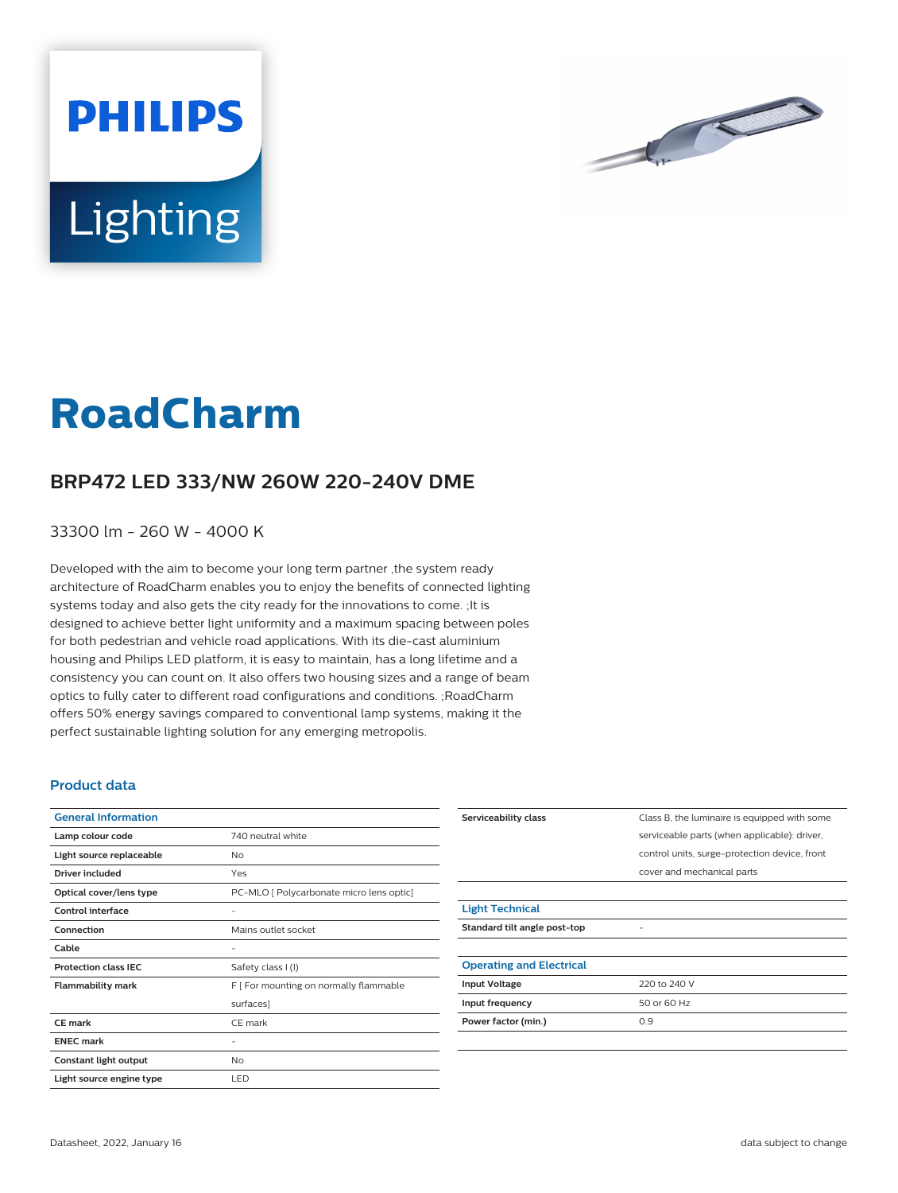



## **RoadCharm**

## **BRP472 LED 333/NW 260W 220-240V DME**

33300 lm - 260 W - 4000 K

Developed with the aim to become your long term partner ,the system ready architecture of RoadCharm enables you to enjoy the benefits of connected lighting systems today and also gets the city ready for the innovations to come. ;It is designed to achieve better light uniformity and a maximum spacing between poles for both pedestrian and vehicle road applications. With its die-cast aluminium housing and Philips LED platform, it is easy to maintain, has a long lifetime and a consistency you can count on. It also offers two housing sizes and a range of beam optics to fully cater to different road configurations and conditions. ;RoadCharm offers 50% energy savings compared to conventional lamp systems, making it the perfect sustainable lighting solution for any emerging metropolis.

## **Product data**

| <b>General Information</b>  |                                          |
|-----------------------------|------------------------------------------|
| Lamp colour code            | 740 neutral white                        |
| Light source replaceable    | No                                       |
| Driver included             | Yes                                      |
| Optical cover/lens type     | PC-MLO [ Polycarbonate micro lens optic] |
| Control interface           |                                          |
| Connection                  | Mains outlet socket                      |
| Cable                       |                                          |
| <b>Protection class IEC</b> | Safety class I (I)                       |
| <b>Flammability mark</b>    | F [ For mounting on normally flammable   |
|                             | surfaces]                                |
| <b>CE</b> mark              | CE mark                                  |
| <b>ENEC mark</b>            |                                          |
| Constant light output       | No                                       |
| Light source engine type    | LED                                      |

| Serviceability class            | Class B, the luminaire is equipped with some  |
|---------------------------------|-----------------------------------------------|
|                                 | serviceable parts (when applicable): driver,  |
|                                 | control units, surge-protection device, front |
|                                 | cover and mechanical parts                    |
|                                 |                                               |
| <b>Light Technical</b>          |                                               |
| Standard tilt angle post-top    |                                               |
|                                 |                                               |
| <b>Operating and Electrical</b> |                                               |
| <b>Input Voltage</b>            | 220 to 240 V                                  |
| Input frequency                 | 50 or 60 Hz                                   |
| Power factor (min.)             | 0.9                                           |
|                                 |                                               |